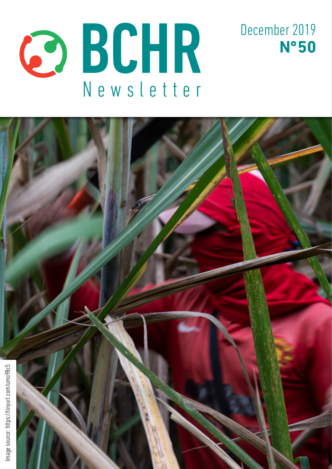



December 2019

**Nº 50**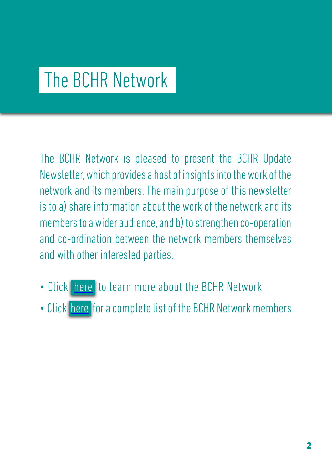## The BCHR Network

The BCHR Network is pleased to present the BCHR Update Newsletter, which provides a host of insights into the work of the network and its members. The main purpose of this newsletter is to a) share information about the work of the network and its members to a wider audience, and b) to strengthen co-operation and co-ordination between the network members themselves and with other interested parties.

- Click [here](http://www.networkbchr.org/) to learn more about the BCHR Network
- Click [here](http://www.networkbchr.org/#!join-the-network/c24vq) for a complete list of the BCHR Network members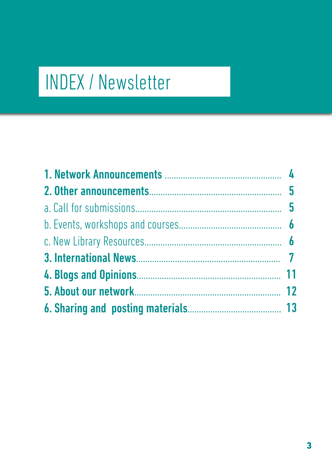# INDEX / Newsletter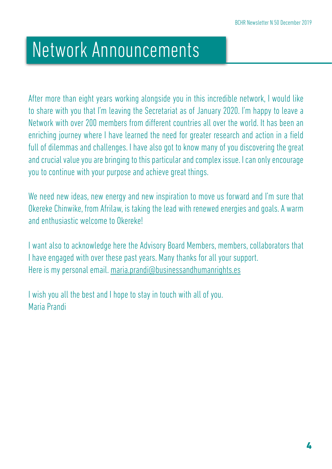## Network Announcements

After more than eight years working alongside you in this incredible network, I would like to share with you that I'm leaving the Secretariat as of January 2020. I'm happy to leave a Network with over 200 members from different countries all over the world. It has been an enriching journey where I have learned the need for greater research and action in a field full of dilemmas and challenges. I have also got to know many of you discovering the great and crucial value you are bringing to this particular and complex issue. I can only encourage you to continue with your purpose and achieve great things.

We need new ideas, new energy and new inspiration to move us forward and I'm sure that Okereke Chinwike, from Afrilaw, is taking the lead with renewed energies and goals. A warm and enthusiastic welcome to Okereke!

I want also to acknowledge here the Advisory Board Members, members, collaborators that I have engaged with over these past years. Many thanks for all your support. Here is my personal email. [maria.prandi@businessandhumanrights.es](mailto:maria.prandi%40businessandhumanrights.es?subject=)

I wish you all the best and I hope to stay in touch with all of you. Maria Prandi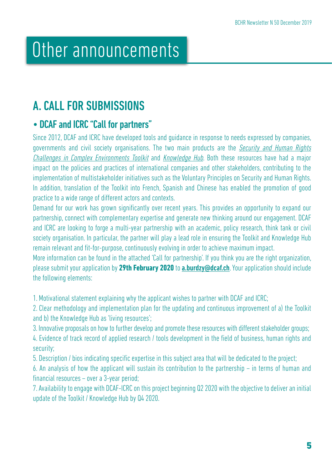## Other announcements

## A. CALL FOR SUBMISSIONS

## • DCAF and ICRC "Call for partners"

Since 2012, DCAF and ICRC have developed tools and guidance in response to needs expressed by companies, governments and civil society organisations. The two main products are the *[Security and Human Rights](http://www.securityhumanrightshub.org/sites/default/files/publications/ASHRC_Toolkit_V3.pdf)* [Challenges in Complex Environments Toolkit](http://www.securityhumanrightshub.org/sites/default/files/publications/ASHRC_Toolkit_V3.pdf) and [Knowledge Hub](http://www.securityhumanrightshub.org/content/security-and-human-rights-grant). Both these resources have had a major impact on the policies and practices of international companies and other stakeholders, contributing to the implementation of multistakeholder initiatives such as the Voluntary Principles on Security and Human Rights. In addition, translation of the Toolkit into French, Spanish and Chinese has enabled the promotion of good practice to a wide range of different actors and contexts.

Demand for our work has grown significantly over recent years. This provides an opportunity to expand our partnership, connect with complementary expertise and generate new thinking around our engagement. DCAF and ICRC are looking to forge a multi-year partnership with an academic, policy research, think tank or civil society organisation. In particular, the partner will play a lead role in ensuring the Toolkit and Knowledge Hub remain relevant and fit-for-purpose, continuously evolving in order to achieve maximum impact.

More information can be found in the attached 'Call for partnership'. If you think you are the right organization, please submit your application by **29th February 2020** to [a.burdzy@dcaf.ch](mailto:a.burdzy%40dcaf.ch?subject=). Your application should include the following elements:

1. Motivational statement explaining why the applicant wishes to partner with DCAF and ICRC;

2. Clear methodology and implementation plan for the updating and continuous improvement of a) the Toolkit and b) the Knowledge Hub as 'living resources';

3. Innovative proposals on how to further develop and promote these resources with different stakeholder groups;

4. Evidence of track record of applied research / tools development in the field of business, human rights and security;

5. Description / bios indicating specific expertise in this subject area that will be dedicated to the project;

6. An analysis of how the applicant will sustain its contribution to the partnership – in terms of human and financial resources – over a 3-year period;

7. Availability to engage with DCAF-ICRC on this project beginning Q2 2020 with the objective to deliver an initial update of the Toolkit / Knowledge Hub by Q4 2020.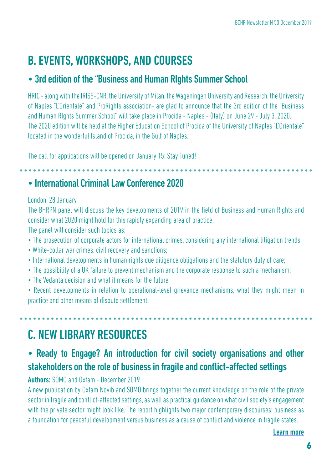## B. EVENTS, WORKSHOPS, AND COURSES

### • 3rd edition of the "Business and Human RIghts Summer School

HRIC - along with the IRISS-CNR, the University of Milan, the Wageningen University and Research, the University of Naples "L'Orientale" and ProRights association- are glad to announce that the 3rd edition of the "Business and Human RIghts Summer School" will take place in Procida - Naples - (Italy) on June 29 - July 3, 2020. The 2020 edition will be held at the Higher Education School of Procida of the University of Naples "L'Orientale" located in the wonderful Island of Procida, in the Gulf of Naples.

The call for applications will be opened on January 15: Stay Tuned!

### • International Criminal Law Conference 2020

#### London, 28 January

The BHRPN panel will discuss the key developments of 2019 in the field of Business and Human Rights and consider what 2020 might hold for this rapidly expanding area of practice.

The panel will consider such topics as:

- The prosecution of corporate actors for international crimes, considering any international litigation trends;
- White-collar war crimes, civil recovery and sanctions;
- International developments in human rights due diligence obligations and the statutory duty of care;
- The possibility of a UK failure to prevent mechanism and the corporate response to such a mechanism;
- The Vedanta decision and what it means for the future
- Recent developments in relation to operational-level grievance mechanisms, what they might mean in practice and other means of dispute settlement.

## C. NEW LIBRARY RESOURCES

### • Ready to Engage? An introduction for civil society organisations and other stakeholders on the role of business in fragile and conflict-affected settings

Authors: SOMO and Oxfam - December 2019

A new publication by Oxfam Novib and SOMO brings together the current knowledge on the role of the private sector in fragile and conflict-affected settings, as well as practical guidance on what civil society's engagement with the private sector might look like. The report highlights two major contemporary discourses: business as a foundation for peaceful development versus business as a cause of conflict and violence in fragile states.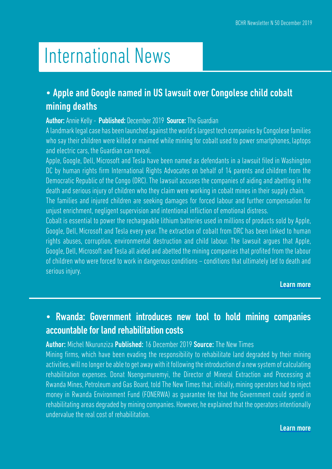## International News

## • Apple and Google named in US lawsuit over Congolese child cobalt mining deaths

#### Author: Annie Kelly - Published: December 2019 Source: The Guardian

A landmark legal case has been launched against the world's largest tech companies by Congolese families who say their children were killed or maimed while mining for cobalt used to power smartphones, laptops and electric cars, the Guardian can reveal.

Apple, Google, Dell, Microsoft and Tesla have been named as defendants in a lawsuit filed in Washington DC by human rights firm International Rights Advocates on behalf of 14 parents and children from the Democratic Republic of the Congo (DRC). The lawsuit accuses the companies of aiding and abetting in the death and serious injury of children who they claim were working in cobalt mines in their supply chain. The families and injured children are seeking damages for forced labour and further compensation for unjust enrichment, negligent supervision and intentional infliction of emotional distress.

Cobalt is essential to power the rechargeable lithium batteries used in millions of products sold by Apple, Google, Dell, Microsoft and Tesla every year. The extraction of cobalt from DRC has been linked to human rights abuses, corruption, environmental destruction and child labour. The lawsuit argues that Apple, Google, Dell, Microsoft and Tesla all aided and abetted the mining companies that profited from the labour of children who were forced to work in dangerous conditions – conditions that ultimately led to death and serious injury.

#### Learn m[ore](https://tinyurl.com/yxyavp6c)

### • Rwanda: Government introduces new tool to hold mining companies accountable for land rehabilitation costs

#### Author: Michel Nkurunziza Published: 16 December 2019 Source: The New Times

Mining firms, which have been evading the responsibility to rehabilitate land degraded by their mining activities, will no longer be able to get away with it following the introduction of a new system of calculating rehabilitation expenses. Donat Nsengumuremyi, the Director of Mineral Extraction and Processing at Rwanda Mines, Petroleum and Gas Board, told The New Times that, initially, mining operators had to inject money in Rwanda Environment Fund (FONERWA) as guarantee fee that the Government could spend in rehabilitating areas degraded by mining companies. However, he explained that the operators intentionally undervalue the real cost of rehabilitation.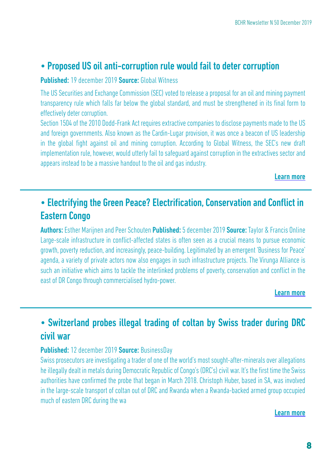#### • Proposed US oil anti-corruption rule would fail to deter corruption

Published: 19 december 2019 Source: Global Witness

The US Securities and Exchange Commission (SEC) voted to release a proposal for an oil and mining payment transparency rule which falls far below the global standard, and must be strengthened in its final form to effectively deter corruption.

Section 1504 of the 2010 Dodd-Frank Act requires extractive companies to disclose payments made to the US and foreign governments. Also known as the Cardin-Lugar provision, it was once a beacon of US leadership in the global fight against oil and mining corruption. According to Global Witness, the SEC's new draft implementation rule, however, would utterly fail to safeguard against corruption in the extractives sector and appears instead to be a massive handout to the oil and gas industry.

Learn [more](https://tinyurl.com/sac4ojd)

### • Electrifying the Green Peace? Electrification, Conservation and Conflict in Eastern Congo

Authors: Esther Marijnen and Peer Schouten Published: 5 december 2019 Source: Taylor & Francis Online Large-scale infrastructure in conflict-affected states is often seen as a crucial means to pursue economic growth, poverty reduction, and increasingly, peace-building. Legitimated by an emergent 'Business for Peace' agenda, a variety of private actors now also engages in such infrastructure projects. The Virunga Alliance is such an initiative which aims to tackle the interlinked problems of poverty, conservation and conflict in the east of DR Congo through commercialised hydro-power.

[Learn more](https://tinyurl.com/qvcjjzh)

### • Switzerland probes illegal trading of coltan by Swiss trader during DRC civil war

#### Published: 12 december 2019 Source: BusinessDay

Swiss prosecutors are investigating a trader of one of the world's most sought-after-minerals over allegations he illegally dealt in metals during Democratic Republic of Congo's (DRC's) civil war. It's the first time the Swiss authorities have confirmed the probe that began in March 2018. Christoph Huber, based in SA, was involved in the large-scale transport of coltan out of DRC and Rwanda when a Rwanda-backed armed group occupied much of eastern DRC during the wa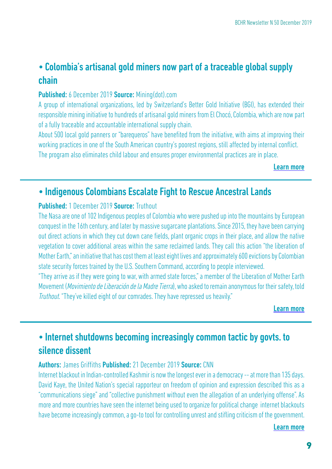## • Colombia's artisanal gold miners now part of a traceable global supply chain

#### Published: 6 December 2019 Source: Mining(dot).com

A group of international organizations, led by Switzerland's Better Gold Initiative (BGI), has extended their responsible mining initiative to hundreds of artisanal gold miners from El Chocó, Colombia, which are now part of a fully traceable and accountable international supply chain.

About 500 local gold panners or "barequeros" have benefited from the initiative, with aims at improving their working practices in one of the South American country's poorest regions, still affected by internal conflict. The program also eliminates child labour and ensures proper environmental practices are in place.

[Learn more](https://tinyurl.com/qwyjd6d)

### • Indigenous Colombians Escalate Fight to Rescue Ancestral Lands

#### Published: 1 December 2019 Source: Truthout

The Nasa are one of 102 Indigenous peoples of Colombia who were pushed up into the mountains by European conquest in the 16th century, and later by massive sugarcane plantations. Since 2015, they have been carrying out direct actions in which they cut down cane fields, plant organic crops in their place, and allow the native vegetation to cover additional areas within the same reclaimed lands. They call this action "the liberation of Mother Earth," an initiative that has cost them at least eight lives and approximately 600 evictions by Colombian state security forces trained by the U.S. Southern Command, according to people interviewed.

"They arrive as if they were going to war, with armed state forces," a member of the Liberation of Mother Earth Movement (Movimiento de Liberación de la Madre Tierra), who asked to remain anonymous for their safety, told Truthout. "They've killed eight of our comrades. They have repressed us heavily."

[Learn more](https://tinyurl.com/umo98c5)

## • Internet shutdowns becoming increasingly common tactic by govts. to silence dissent

#### Authors: James Griffiths Published: 21 December 2019 Source: CNN

Internet blackout in Indian-controlled Kashmir is now the longest ever in a democracy -- at more than 135 days. David Kaye, the United Nation's special rapporteur on freedom of opinion and expression described this as a "communications siege" and "collective punishment without even the allegation of an underlying offense". As more and more countries have seen the internet being used to organize for political change internet blackouts have become increasingly common, a go-to tool for controlling unrest and stifling criticism of the government.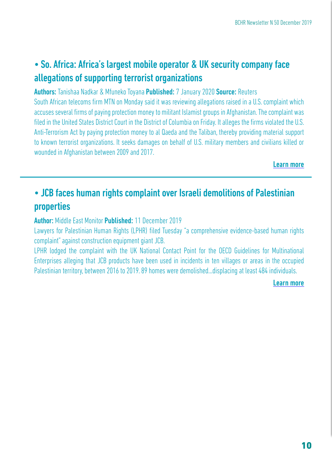## • So. Africa: Africa's largest mobile operator & UK security company face allegations of supporting terrorist organizations

#### Authors: Tanishaa Nadkar & Mfuneko Toyana Published: 7 January 2020 Source: Reuters

South African telecoms firm MTN on Monday said it was reviewing allegations raised in a U.S. complaint which accuses several firms of paying protection money to militant Islamist groups in Afghanistan. The complaint was filed in the United States District Court in the District of Columbia on Friday. It alleges the firms violated the U.S. Anti-Terrorism Act by paying protection money to al Qaeda and the Taliban, thereby providing material support to known terrorist organizations. It seeks damages on behalf of U.S. military members and civilians killed or wounded in Afghanistan between 2009 and 2017.

[Learn more](https://tinyurl.com/wfvbxh4)

## • JCB faces human rights complaint over Israeli demolitions of Palestinian properties

#### Author: Middle East Monitor Published: 11 December 2019

Lawyers for Palestinian Human Rights (LPHR) filed Tuesday "a comprehensive evidence-based human rights complaint" against construction equipment giant JCB.

LPHR lodged the complaint with the UK National Contact Point for the OECD Guidelines for Multinational Enterprises alleging that JCB products have been used in incidents in ten villages or areas in the occupied Palestinian territory, between 2016 to 2019. 89 homes were demolished...displacing at least 484 individuals.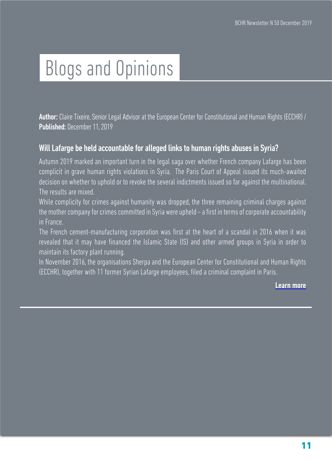# Blogs and Opinions

Author: Claire Tixeire, Senior Legal Advisor at the European Center for Constitutional and Human Rights (ECCHR) / Published: December 11, 2019

#### Will Lafarge be held accountable for alleged links to human rights abuses in Syria?

Autumn 2019 marked an important turn in the legal saga over whether French company Lafarge has been complicit in grave human rights violations in Syria. The Paris Court of Appeal issued its much-awaited decision on whether to uphold or to revoke the several indictments issued so far against the multinational. The results are mixed.

While complicity for crimes against humanity was dropped, the three remaining criminal charges against the mother company for crimes committed in Syria were upheld – a first in terms of corporate accountability in France.

The French cement-manufacturing corporation was first at the heart of a scandal in 2016 when it was revealed that it may have financed the Islamic State (IS) and other armed groups in Syria in order to maintain its factory plant running.

In November 2016, the organisations Sherpa and the European Center for Constitutional and Human Rights (ECCHR), together with 11 former Syrian Lafarge employees, filed a criminal complaint in Paris[.](https://tinyurl.com/sefw7we)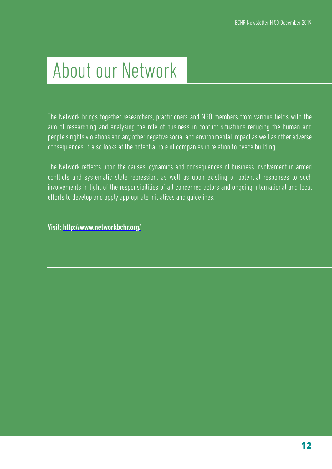## About our Network

The Network brings together researchers, practitioners and NGO members from various fields with the aim of researching and analysing the role of business in conflict situations reducing the human and people's rights violations and any other negative social and environmental impact as well as other adverse consequences. It also looks at the potential role of companies in relation to peace building.

The Network reflects upon the causes, dynamics and consequences of business involvement in armed conflicts and systematic state repression, as well as upon existing or potential responses to such involvements in light of the responsibilities of all concerned actors and ongoing international and local efforts to develop and apply appropriate initiatives and guidelines.

Visit: <http://www.networkbchr.org/>